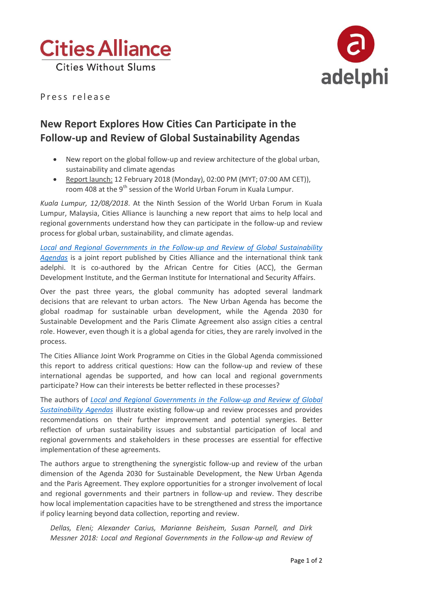



Press release

## **New Report Explores How Cities Can Participate in the Follow-up and Review of Global Sustainability Agendas**

- New report on the global follow-up and review architecture of the global urban, sustainability and climate agendas
- Report launch: 12 February 2018 (Monday), 02:00 PM (MYT; 07:00 AM CET)), room 408 at the 9<sup>th</sup> session of the World Urban Forum in Kuala Lumpur.

*Kuala Lumpur, 12/08/2018*. At the Ninth Session of the World Urban Forum in Kuala Lumpur, Malaysia, Cities Alliance is launching a new report that aims to help local and regional governments understand how they can participate in the follow-up and review process for global urban, sustainability, and climate agendas.

*[Local and Regional Governments in the Follow-up and Review of Global Sustainability](https://www.adelphi.de/en/publication/local-and-regional-governments-follow-and-review-global-sustainability-agendas)  [Agendas](https://www.adelphi.de/en/publication/local-and-regional-governments-follow-and-review-global-sustainability-agendas)* is a joint report published by Cities Alliance and the international think tank adelphi. It is co-authored by the African Centre for Cities (ACC), the German Development Institute, and the German Institute for International and Security Affairs.

Over the past three years, the global community has adopted several landmark decisions that are relevant to urban actors. The New Urban Agenda has become the global roadmap for sustainable urban development, while the Agenda 2030 for Sustainable Development and the Paris Climate Agreement also assign cities a central role. However, even though it is a global agenda for cities, they are rarely involved in the process.

The Cities Alliance Joint Work Programme on Cities in the Global Agenda commissioned this report to address critical questions: How can the follow-up and review of these international agendas be supported, and how can local and regional governments participate? How can their interests be better reflected in these processes?

The authors of *[Local and Regional Governments in the Follow-up and Review of Global](https://www.adelphi.de/en/publication/local-and-regional-governments-follow-and-review-global-sustainability-agendas)  [Sustainability Agendas](https://www.adelphi.de/en/publication/local-and-regional-governments-follow-and-review-global-sustainability-agendas)* illustrate existing follow-up and review processes and provides recommendations on their further improvement and potential synergies. Better reflection of urban sustainability issues and substantial participation of local and regional governments and stakeholders in these processes are essential for effective implementation of these agreements.

The authors argue to strengthening the synergistic follow-up and review of the urban dimension of the Agenda 2030 for Sustainable Development, the New Urban Agenda and the Paris Agreement. They explore opportunities for a stronger involvement of local and regional governments and their partners in follow-up and review. They describe how local implementation capacities have to be strengthened and stress the importance if policy learning beyond data collection, reporting and review.

*Dellas, Eleni; Alexander Carius, Marianne Beisheim, Susan Parnell, and Dirk Messner 2018: Local and Regional Governments in the Follow-up and Review of*